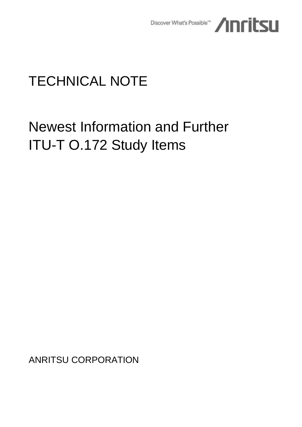

# TECHNICAL NOTE

# Newest Information and Further ITU-T O.172 Study Items

ANRITSU CORPORATION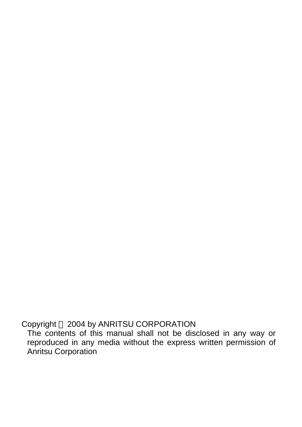Copyright © 2004 by ANRITSU CORPORATION

The contents of this manual shall not be disclosed in any way or reproduced in any media without the express written permission of Anritsu Corporation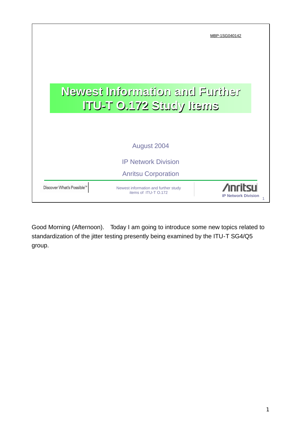|                          |                                                              | MBP-1SG040142              |
|--------------------------|--------------------------------------------------------------|----------------------------|
|                          |                                                              |                            |
|                          |                                                              |                            |
|                          | Newest Information and Further                               |                            |
|                          | <b>ITU-T 0.172 Study Items</b>                               |                            |
|                          |                                                              |                            |
|                          | August 2004                                                  |                            |
|                          | <b>IP Network Division</b>                                   |                            |
|                          | <b>Anritsu Corporation</b>                                   |                            |
| Discover What's Possible | Newest information and further study<br>items of ITU-T 0.172 | <b>IP Network Division</b> |

Good Morning (Afternoon). Today I am going to introduce some new topics related to standardization of the jitter testing presently being examined by the ITU-T SG4/Q5 group.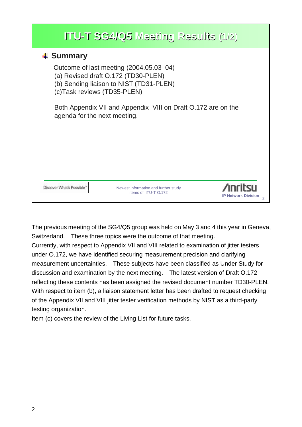|                                                      | $ITU-T SG4/Q5 Meeting Results (1/2)$                                                                                      |                            |
|------------------------------------------------------|---------------------------------------------------------------------------------------------------------------------------|----------------------------|
| $\downarrow$ Summary<br>(c) Task reviews (TD35-PLEN) | Outcome of last meeting (2004.05.03–04)<br>(a) Revised draft O.172 (TD30-PLEN)<br>(b) Sending liaison to NIST (TD31-PLEN) |                            |
| agenda for the next meeting.                         | Both Appendix VII and Appendix VIII on Draft 0.172 are on the                                                             |                            |
|                                                      |                                                                                                                           |                            |
| Discover What's Poss                                 | Newest information and further study<br>items of ITU-T 0.172                                                              | <b>IP Network Division</b> |

The previous meeting of the SG4/Q5 group was held on May 3 and 4 this year in Geneva, Switzerland. These three topics were the outcome of that meeting. Currently, with respect to Appendix VII and VIII related to examination of jitter testers

under O.172, we have identified securing measurement precision and clarifying measurement uncertainties. These subjects have been classified as Under Study for discussion and examination by the next meeting. The latest version of Draft O.172 reflecting these contents has been assigned the revised document number TD30-PLEN. With respect to item (b), a liaison statement letter has been drafted to request checking of the Appendix VII and VIII jitter tester verification methods by NIST as a third-party testing organization.

Item (c) covers the review of the Living List for future tasks.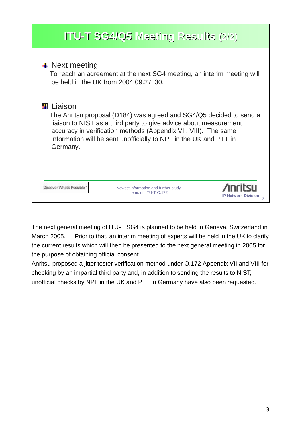| ITU-T SG4/Q5 Meeting Results (2/2)                                                                                                                                                                                                                                                                                         |
|----------------------------------------------------------------------------------------------------------------------------------------------------------------------------------------------------------------------------------------------------------------------------------------------------------------------------|
| $\downarrow$ Next meeting<br>To reach an agreement at the next SG4 meeting, an interim meeting will<br>be held in the UK from 2004.09.27-30.                                                                                                                                                                               |
| <b><del></del></b> Liaison<br>The Anritsu proposal (D184) was agreed and SG4/Q5 decided to send a<br>liaison to NIST as a third party to give advice about measurement<br>accuracy in verification methods (Appendix VII, VIII). The same<br>information will be sent unofficially to NPL in the UK and PTT in<br>Germany. |
| Discover What's Possi<br>Newest information and further study<br>items of ITU-T 0.172<br><b>IP Network Division</b>                                                                                                                                                                                                        |

The next general meeting of ITU-T SG4 is planned to be held in Geneva, Switzerland in March 2005. Prior to that, an interim meeting of experts will be held in the UK to clarify the current results which will then be presented to the next general meeting in 2005 for the purpose of obtaining official consent.

Anritsu proposed a jitter tester verification method under O.172 Appendix VII and VIII for checking by an impartial third party and, in addition to sending the results to NIST, unofficial checks by NPL in the UK and PTT in Germany have also been requested.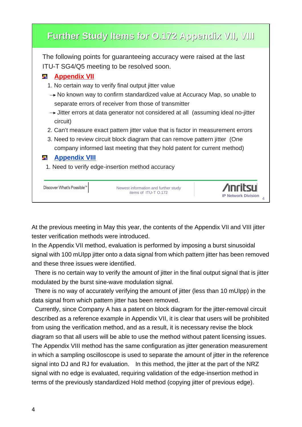| Further Study Items for 0.172 Appendix VII, VIII                                                          |                            |
|-----------------------------------------------------------------------------------------------------------|----------------------------|
| The following points for guaranteeing accuracy were raised at the last                                    |                            |
| ITU-T SG4/Q5 meeting to be resolved soon.                                                                 |                            |
| <b>Appendix VII</b><br>ag.                                                                                |                            |
| 1. No certain way to verify final output jitter value                                                     |                            |
| $\rightarrow$ No known way to confirm standardized value at Accuracy Map, so unable to                    |                            |
| separate errors of receiver from those of transmitter                                                     |                            |
| $\rightarrow$ Jitter errors at data generator not considered at all (assuming ideal no-jitter<br>circuit) |                            |
| 2. Can't measure exact pattern jitter value that is factor in measurement errors                          |                            |
| 3. Need to review circuit block diagram that can remove pattern jitter (One                               |                            |
| company informed last meeting that they hold patent for current method)                                   |                            |
| <b>Appendix VIII</b><br>ш                                                                                 |                            |
| 1. Need to verify edge-insertion method accuracy                                                          |                            |
|                                                                                                           |                            |
| Discover What's Possi<br>Newest information and further study<br>items of ITU-T O.172                     | <b>IP Network Division</b> |

At the previous meeting in May this year, the contents of the Appendix VII and VIII jitter tester verification methods were introduced.

In the Appendix VII method, evaluation is performed by imposing a burst sinusoidal signal with 100 mUIpp jitter onto a data signal from which pattern jitter has been removed and these three issues were identified.

 There is no certain way to verify the amount of jitter in the final output signal that is jitter modulated by the burst sine-wave modulation signal.

 There is no way of accurately verifying the amount of jitter (less than 10 mUIpp) in the data signal from which pattern jitter has been removed.

 Currently, since Company A has a patent on block diagram for the jitter-removal circuit described as a reference example in Appendix VII, it is clear that users will be prohibited from using the verification method, and as a result, it is necessary revise the block diagram so that all users will be able to use the method without patent licensing issues. The Appendix VIII method has the same configuration as jitter generation measurement in which a sampling oscilloscope is used to separate the amount of jitter in the reference signal into DJ and RJ for evaluation. In this method, the jitter at the part of the NRZ signal with no edge is evaluated, requiring validation of the edge-insertion method in terms of the previously standardized Hold method (copying jitter of previous edge).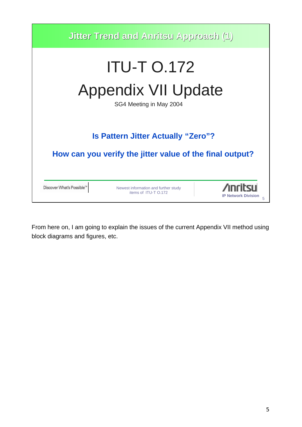

From here on, I am going to explain the issues of the current Appendix VII method using block diagrams and figures, etc.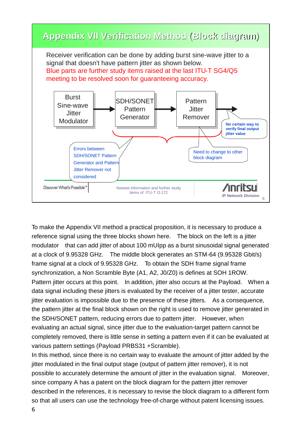

To make the Appendix VII method a practical proposition, it is necessary to produce a reference signal using the three blocks shown here. The block on the left is a jitter modulator that can add jitter of about 100 mUIpp as a burst sinusoidal signal generated at a clock of 9.95328 GHz. The middle block generates an STM-64 (9.95328 Gbit/s) frame signal at a clock of 9.95328 GHz. To obtain the SDH frame signal frame synchronization, a Non Scramble Byte (A1, A2, J0/Z0) is defines at SOH 1ROW. Pattern jitter occurs at this point. In addition, jitter also occurs at the Payload. When a data signal including these jitters is evaluated by the receiver of a jitter tester, accurate jitter evaluation is impossible due to the presence of these jitters. As a consequence, the pattern jitter at the final block shown on the right is used to remove jitter generated in the SDH/SONET pattern, reducing errors due to pattern jitter. However, when evaluating an actual signal, since jitter due to the evaluation-target pattern cannot be completely removed, there is little sense in setting a pattern even if it can be evaluated at various pattern settings (Payload PRBS31 +Scramble).

In this method, since there is no certain way to evaluate the amount of jitter added by the jitter modulated in the final output stage (output of pattern jitter remover), it is not possible to accurately determine the amount of jitter in the evaluation signal. Moreover, since company A has a patent on the block diagram for the pattern jitter remover described in the references, it is necessary to revise the block diagram to a different form so that all users can use the technology free-of-charge without patent licensing issues.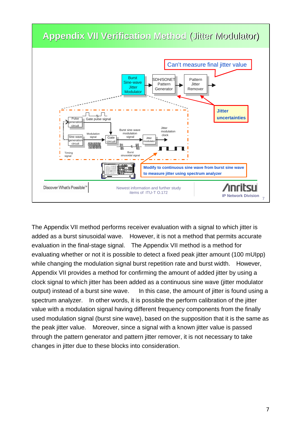

The Appendix VII method performs receiver evaluation with a signal to which jitter is added as a burst sinusoidal wave. However, it is not a method that permits accurate evaluation in the final-stage signal. The Appendix VII method is a method for evaluating whether or not it is possible to detect a fixed peak jitter amount (100 mUIpp) while changing the modulation signal burst repetition rate and burst width. However, Appendix VII provides a method for confirming the amount of added jitter by using a clock signal to which jitter has been added as a continuous sine wave (jitter modulator output) instead of a burst sine wave. In this case, the amount of jitter is found using a spectrum analyzer. In other words, it is possible the perform calibration of the jitter value with a modulation signal having different frequency components from the finally used modulation signal (burst sine wave), based on the supposition that it is the same as the peak jitter value. Moreover, since a signal with a known jitter value is passed through the pattern generator and pattern jitter remover, it is not necessary to take changes in jitter due to these blocks into consideration.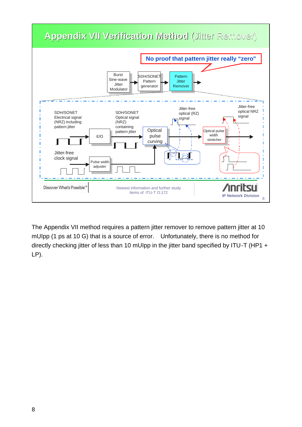

The Appendix VII method requires a pattern jitter remover to remove pattern jitter at 10 mUIpp (1 ps at 10 G) that is a source of error. Unfortunately, there is no method for directly checking jitter of less than 10 mUIpp in the jitter band specified by ITU-T (HP1 + LP).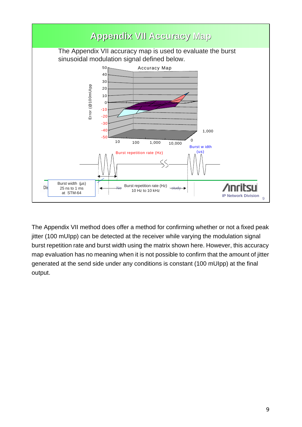

The Appendix VII method does offer a method for confirming whether or not a fixed peak jitter (100 mUIpp) can be detected at the receiver while varying the modulation signal burst repetition rate and burst width using the matrix shown here. However, this accuracy map evaluation has no meaning when it is not possible to confirm that the amount of jitter generated at the send side under any conditions is constant (100 mUIpp) at the final output.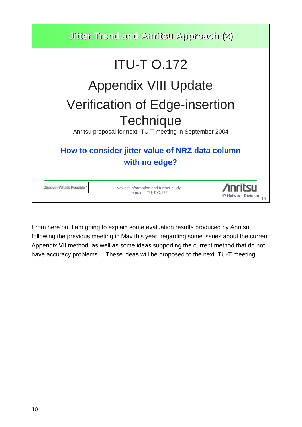

From here on, I am going to explain some evaluation results produced by Anritsu following the previous meeting in May this year, regarding some issues about the current Appendix VII method, as well as some ideas supporting the current method that do not have accuracy problems. These ideas will be proposed to the next ITU-T meeting.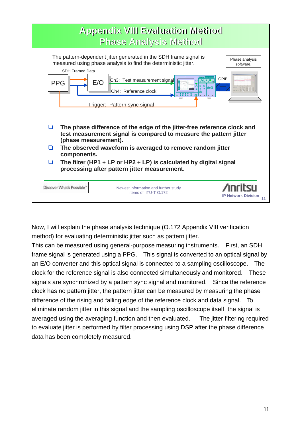

Now, I will explain the phase analysis technique (O.172 Appendix VIII verification method) for evaluating deterministic jitter such as pattern jitter.

This can be measured using general-purpose measuring instruments. First, an SDH frame signal is generated using a PPG. This signal is converted to an optical signal by an E/O converter and this optical signal is connected to a sampling oscilloscope. The clock for the reference signal is also connected simultaneously and monitored. These signals are synchronized by a pattern sync signal and monitored. Since the reference clock has no pattern jitter, the pattern jitter can be measured by measuring the phase difference of the rising and falling edge of the reference clock and data signal. To eliminate random jitter in this signal and the sampling oscilloscope itself, the signal is averaged using the averaging function and then evaluated. The jitter filtering required to evaluate jitter is performed by filter processing using DSP after the phase difference data has been completely measured.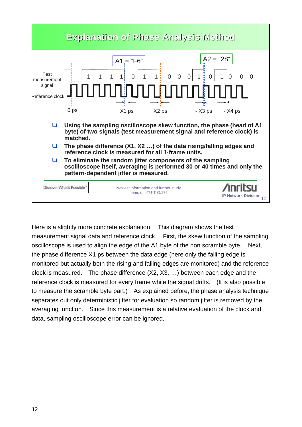

Here is a slightly more concrete explanation. This diagram shows the test measurement signal data and reference clock. First, the skew function of the sampling oscilloscope is used to align the edge of the A1 byte of the non scramble byte. Next, the phase difference X1 ps between the data edge (here only the falling edge is monitored but actually both the rising and falling edges are monitored) and the reference clock is measured. The phase difference (X2, X3, …) between each edge and the reference clock is measured for every frame while the signal drifts. (It is also possible to measure the scramble byte part.) As explained before, the phase analysis technique separates out only deterministic jitter for evaluation so random jitter is removed by the averaging function. Since this measurement is a relative evaluation of the clock and data, sampling oscilloscope error can be ignored.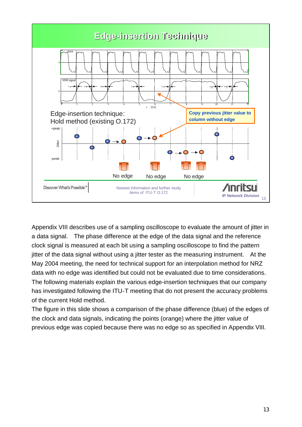

Appendix VIII describes use of a sampling oscilloscope to evaluate the amount of jitter in a data signal. The phase difference at the edge of the data signal and the reference clock signal is measured at each bit using a sampling oscilloscope to find the pattern jitter of the data signal without using a jitter tester as the measuring instrument. At the May 2004 meeting, the need for technical support for an interpolation method for NRZ data with no edge was identified but could not be evaluated due to time considerations. The following materials explain the various edge-insertion techniques that our company has investigated following the ITU-T meeting that do not present the accuracy problems of the current Hold method.

The figure in this slide shows a comparison of the phase difference (blue) of the edges of the clock and data signals, indicating the points (orange) where the jitter value of previous edge was copied because there was no edge so as specified in Appendix VIII.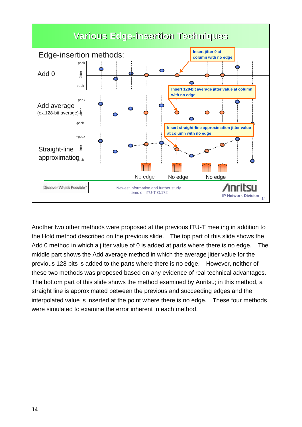

Another two other methods were proposed at the previous ITU-T meeting in addition to the Hold method described on the previous slide. The top part of this slide shows the Add 0 method in which a jitter value of 0 is added at parts where there is no edge. The middle part shows the Add average method in which the average jitter value for the previous 128 bits is added to the parts where there is no edge. However, neither of these two methods was proposed based on any evidence of real technical advantages. The bottom part of this slide shows the method examined by Anritsu; in this method, a straight line is approximated between the previous and succeeding edges and the interpolated value is inserted at the point where there is no edge. These four methods were simulated to examine the error inherent in each method.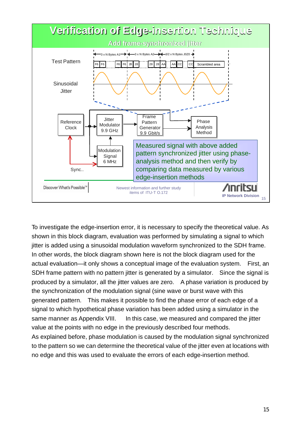

To investigate the edge-insertion error, it is necessary to specify the theoretical value. As shown in this block diagram, evaluation was performed by simulating a signal to which jitter is added using a sinusoidal modulation waveform synchronized to the SDH frame. In other words, the block diagram shown here is not the block diagram used for the actual evaluation—it only shows a conceptual image of the evaluation system. First, an SDH frame pattern with no pattern jitter is generated by a simulator. Since the signal is produced by a simulator, all the jitter values are zero. A phase variation is produced by the synchronization of the modulation signal (sine wave or burst wave with this generated pattern. This makes it possible to find the phase error of each edge of a signal to which hypothetical phase variation has been added using a simulator in the same manner as Appendix VIII. In this case, we measured and compared the jitter value at the points with no edge in the previously described four methods. As explained before, phase modulation is caused by the modulation signal synchronized

to the pattern so we can determine the theoretical value of the jitter even at locations with no edge and this was used to evaluate the errors of each edge-insertion method.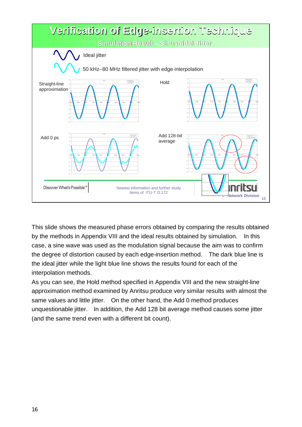

This slide shows the measured phase errors obtained by comparing the results obtained by the methods in Appendix VIII and the ideal results obtained by simulation. In this case, a sine wave was used as the modulation signal because the aim was to confirm the degree of distortion caused by each edge-insertion method. The dark blue line is the ideal jitter while the light blue line shows the results found for each of the interpolation methods.

As you can see, the Hold method specified in Appendix VIII and the new straight-line approximation method examined by Anritsu produce very similar results with almost the same values and little jitter. On the other hand, the Add 0 method produces unquestionable jitter. In addition, the Add 128 bit average method causes some jitter (and the same trend even with a different bit count).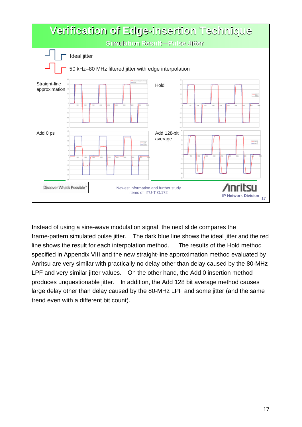

Instead of using a sine-wave modulation signal, the next slide compares the frame-pattern simulated pulse jitter. The dark blue line shows the ideal jitter and the red line shows the result for each interpolation method. The results of the Hold method specified in Appendix VIII and the new straight-line approximation method evaluated by Anritsu are very similar with practically no delay other than delay caused by the 80-MHz LPF and very similar jitter values. On the other hand, the Add 0 insertion method produces unquestionable jitter. In addition, the Add 128 bit average method causes large delay other than delay caused by the 80-MHz LPF and some jitter (and the same trend even with a different bit count).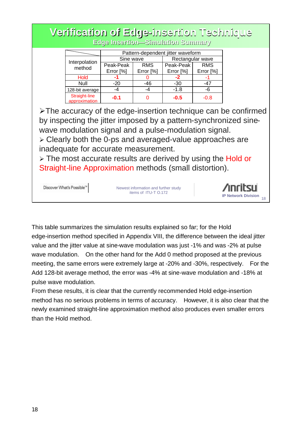# **Verification of Edge-insertion Technique Edge Insertion—Simulation Summary**

|                                |           | Pattern-dependent jitter waveform<br>Rectangular wave<br>Sine wave<br>Peak-Peak<br><b>RMS</b><br><b>RMS</b> |           |           |  |  |
|--------------------------------|-----------|-------------------------------------------------------------------------------------------------------------|-----------|-----------|--|--|
|                                |           |                                                                                                             |           |           |  |  |
| Interpolation<br>method        | Peak-Peak |                                                                                                             |           |           |  |  |
|                                | Error [%] | Error [%]                                                                                                   | Error [%] | Error [%] |  |  |
| <b>Hold</b>                    | -1        |                                                                                                             | -2        |           |  |  |
| Null                           | $-20$     | -46                                                                                                         | -30       | -47       |  |  |
| 128-bit average                | -4        | -4                                                                                                          | $-1.8$    | -6        |  |  |
| Straight-line<br>approximation | $-0.1$    |                                                                                                             | $-0.5$    | $-0.8$    |  |  |

 $\triangleright$ The accuracy of the edge-insertion technique can be confirmed by inspecting the jitter imposed by a pattern-synchronized sinewave modulation signal and a pulse-modulation signal.

ÿ Clearly both the 0-ps and averaged-value approaches are inadequate for accurate measurement.

 $\ge$  The most accurate results are derived by using the Hold or Straight-line Approximation methods (small distortion).

```
Discover What's Possible"
```
Newest information and further study items of ITU-T O.172



This table summarizes the simulation results explained so far; for the Hold edge-insertion method specified in Appendix VIII, the difference between the ideal jitter value and the jitter value at sine-wave modulation was just -1% and was -2% at pulse wave modulation. On the other hand for the Add 0 method proposed at the previous meeting, the same errors were extremely large at -20% and -30%, respectively. For the Add 128-bit average method, the error was -4% at sine-wave modulation and -18% at pulse wave modulation.

From these results, it is clear that the currently recommended Hold edge-insertion method has no serious problems in terms of accuracy. However, it is also clear that the newly examined straight-line approximation method also produces even smaller errors than the Hold method.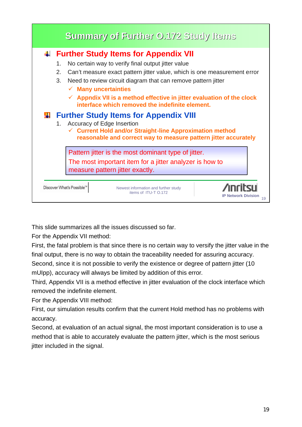

This slide summarizes all the issues discussed so far.

For the Appendix VII method:

First, the fatal problem is that since there is no certain way to versify the jitter value in the final output, there is no way to obtain the traceability needed for assuring accuracy.

Second, since it is not possible to verify the existence or degree of pattern jitter (10 mUIpp), accuracy will always be limited by addition of this error.

Third, Appendix VII is a method effective in jitter evaluation of the clock interface which removed the indefinite element.

For the Appendix VIII method:

First, our simulation results confirm that the current Hold method has no problems with accuracy.

Second, at evaluation of an actual signal, the most important consideration is to use a method that is able to accurately evaluate the pattern jitter, which is the most serious jitter included in the signal.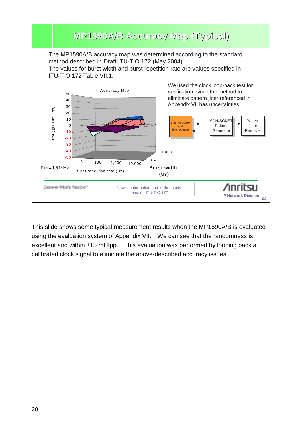

This slide shows some typical measurement results when the MP1590A/B is evaluated using the evaluation system of Appendix VII. We can see that the randomness is excellent and within ±15 mUIpp. This evaluation was performed by looping back a calibrated clock signal to eliminate the above-described accuracy issues.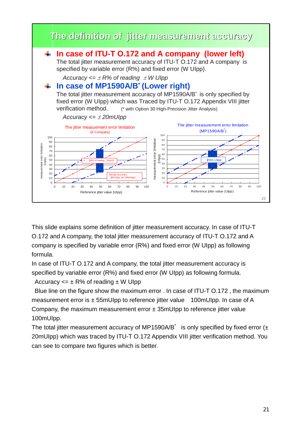

This slide explains some definition of jitter measurement accuracy. In case of ITU-T O.172 and A company, the total jitter measurement accuracy of ITU-T O.172 and A company is specified by variable error (R%) and fixed error (W UIpp) as following formula.

In case of ITU-T 0.172 and A company, the total jitter measurement accuracy is specified by variable error (R%) and fixed error (W UIpp) as following formula.

Accuracy  $\leq \pm R\%$  of reading  $\pm W$  Ulpp

Blue line on the figure show the maximum error . In case of ITU-T O.172 , the maximum measurement error is  $\pm$  55mUIpp to reference jitter value 100mUIpp. In case of A Company, the maximum measurement error  $\pm$  35mUIpp to reference jitter value 100mUIpp.

The total jitter measurement accuracy of MP1590A/B<sup>\*</sup> is only specified by fixed error  $(\pm)$ 20mUIpp) which was traced by ITU-T O.172 Appendix VIII jitter verification method. You can see to compare two figures which is better.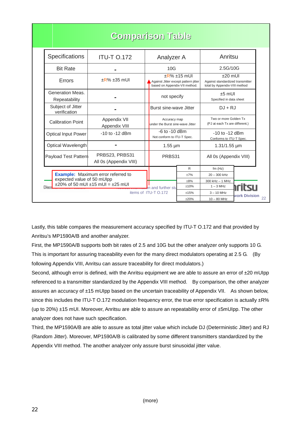|                                                                                                                             | <b>Comparison Table</b>                  |            |                                                                                          |           |                                                                                  |                      |
|-----------------------------------------------------------------------------------------------------------------------------|------------------------------------------|------------|------------------------------------------------------------------------------------------|-----------|----------------------------------------------------------------------------------|----------------------|
| <b>Specifications</b>                                                                                                       | <b>ITU-T 0.172</b>                       | Analyzer A |                                                                                          | Anritsu   |                                                                                  |                      |
| <b>Bit Rate</b>                                                                                                             |                                          | 10G        |                                                                                          | 2.5G/10G  |                                                                                  |                      |
| Errors                                                                                                                      | $\pm$ R% $\pm$ 35 mUI                    |            | $+R% +15$ ml Jl<br>Against Jitter except pattern jitter<br>based on Appendix-VII method. |           | $+20$ ml JI<br>Against standardized transmitter<br>total by Appendix-VIII method |                      |
| Generation Meas.<br>Repeatability                                                                                           |                                          |            | not specify                                                                              |           | $±5$ mUI<br>Specified in data sheet                                              |                      |
| Subject of Jitter<br>verification                                                                                           |                                          |            | Burst sine-wave Jitter                                                                   |           | $DJ + RJ$                                                                        |                      |
| <b>Calibration Point</b>                                                                                                    | Appendix VII<br>Appendix VIII            |            | Accuracy map<br>under the Burst sine-wave Jitter                                         |           | Two or more Golden Tx<br>(PJ at each Tx are different.)                          |                      |
| <b>Optical Input Power</b>                                                                                                  | $-10$ to $-12$ dBm                       |            | $-6$ to $-10$ dBm<br>Not conform to ITU-T Spec.                                          |           | $-10$ to $-12$ dBm<br>Conforms to ITU-T Spec.                                    |                      |
| Optical Wavelength                                                                                                          |                                          |            | $1.55 \mu m$                                                                             |           | $1.31/1.55 \,\mu m$                                                              |                      |
| Payload Test Pattern                                                                                                        | PRBS23, PRBS31<br>All 0s (Appendix VIII) |            | PRBS31                                                                                   |           | All 0s (Appendix VIII)                                                           |                      |
|                                                                                                                             |                                          |            |                                                                                          | R         | $fm$ (Hz)                                                                        |                      |
| <b>Example:</b> Maximum error referred to<br>expected value of 50 mUlpp<br>$\pm 20\%$ of 50 mUI $\pm 15$ mUI = $\pm 25$ mUI |                                          |            |                                                                                          | ±7%       | $20 - 300$ kHz                                                                   |                      |
|                                                                                                                             |                                          |            |                                                                                          | $\pm 8\%$ | $300$ kHz $-$ 1 MHz                                                              |                      |
|                                                                                                                             |                                          |            | on and further stu                                                                       | ±10%      | $1 - 3$ MHz                                                                      |                      |
|                                                                                                                             |                                          |            | items of ITU-T 0.172                                                                     | $+15%$    | $3 - 10$ MHz                                                                     | <b>work Division</b> |
|                                                                                                                             |                                          |            |                                                                                          | ±20%      | $10 - 80$ MHz                                                                    |                      |

Lastly, this table compares the measurement accuracy specified by ITU-T O.172 and that provided by Anritsu's MP1590A/B and another analyzer.

First, the MP1590A/B supports both bit rates of 2.5 and 10G but the other analyzer only supports 10 G. This is important for assuring traceability even for the many direct modulators operating at 2.5 G. (By following Appendix VIII, Anritsu can assure traceability for direct modulators.)

Second, although error is defined, with the Anritsu equipment we are able to assure an error of  $\pm 20$  mUIpp referenced to a transmitter standardized by the Appendix VIII method. By comparison, the other analyzer assures an accuracy of ±15 mUIpp based on the uncertain traceability of Appendix VII. As shown below, since this includes the ITU-T O.172 modulation frequency error, the true error specification is actually  $\pm$ R% (up to 20%) ±15 mUI. Moreover, Anritsu are able to assure an repeatability error of ±5mUIpp. The other analyzer does not have such specification.

Third, the MP1590A/B are able to assure as total jitter value which include DJ (Deterministic Jitter) and RJ (Random Jitter). Moreover, MP1590A/B is calibrated by some different transmitters standardized by the Appendix VIII method. The another analyzer only assure burst sinusoidal jitter value.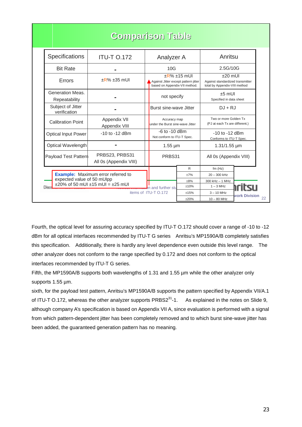|                                                                                                                             | <b>Comparison Table</b>                  |                                                                                                |           |                                                                                  |               |
|-----------------------------------------------------------------------------------------------------------------------------|------------------------------------------|------------------------------------------------------------------------------------------------|-----------|----------------------------------------------------------------------------------|---------------|
| Specifications                                                                                                              | <b>ITU-T 0.172</b>                       | Analyzer A                                                                                     |           | Anritsu                                                                          |               |
| <b>Bit Rate</b>                                                                                                             |                                          | 10G                                                                                            |           | 2.5G/10G                                                                         |               |
| Errors                                                                                                                      | $\pm$ R% $\pm$ 35 mUI                    | $\pm$ R% $\pm$ 15 mUI<br>Against Jitter except pattern jitter<br>based on Appendix-VII method. |           | $+20$ ml Jl<br>Against standardized transmitter<br>total by Appendix-VIII method |               |
| Generation Meas.<br>Repeatability                                                                                           |                                          | not specify                                                                                    |           | $+5$ mUI<br>Specified in data sheet                                              |               |
| Subject of Jitter<br>verification                                                                                           |                                          | Burst sine-wave Jitter                                                                         |           | $DJ + RJ$                                                                        |               |
| <b>Calibration Point</b>                                                                                                    | Appendix VII<br>Appendix VIII            | Accuracy map<br>under the Burst sine-wave Jitter                                               |           | Two or more Golden Tx<br>(PJ at each Tx are different.)                          |               |
| <b>Optical Input Power</b>                                                                                                  | $-10$ to $-12$ dBm                       | $-6$ to $-10$ dBm<br>Not conform to ITU-T Spec.                                                |           | -10 to -12 dBm<br>Conforms to ITU-T Spec.                                        |               |
| Optical Wavelength                                                                                                          |                                          | $1.55 \mu m$                                                                                   |           | $1.31/1.55 \,\mu m$                                                              |               |
| Payload Test Pattern                                                                                                        | PRBS23, PRBS31<br>All 0s (Appendix VIII) | PRBS31                                                                                         |           | All 0s (Appendix VIII)                                                           |               |
|                                                                                                                             |                                          |                                                                                                | R         | $fm$ (Hz)                                                                        |               |
| <b>Example:</b> Maximum error referred to<br>expected value of 50 mUlpp<br>$\pm 20\%$ of 50 mUI $\pm 15$ mUI = $\pm 25$ mUI |                                          |                                                                                                | ±7%       | $20 - 300$ kHz                                                                   |               |
|                                                                                                                             |                                          |                                                                                                | $\pm 8\%$ | 300 kHz - 1 MHz                                                                  |               |
|                                                                                                                             |                                          | on and further stu                                                                             | $+10%$    | $1 - 3$ MHz                                                                      |               |
|                                                                                                                             |                                          | items of ITU-T 0.172                                                                           | $+15%$    | $3 - 10$ MHz                                                                     | work Division |
|                                                                                                                             |                                          |                                                                                                | ±20%      | $10 - 80$ MHz                                                                    |               |

Fourth, the optical level for assuring accuracy specified by ITU-T O.172 should cover a range of -10 to -12 dBm for all optical interfaces recommended by ITU-T G series Anritsu's MP1590A/B completely satisfies this specification. Additionally, there is hardly any level dependence even outside this level range. The other analyzer does not conform to the range specified by 0.172 and does not conform to the optical interfaces recommended by ITU-T G series.

Fifth, the MP1590A/B supports both wavelengths of 1.31 and 1.55  $\mu$ m while the other analyzer only supports 1.55 µm.

sixth, for the payload test pattern, Anritsu's MP1590A/B supports the pattern specified by Appendix VII/A.1 of ITU-T O.172, whereas the other analyzer supports  $PRBS2<sup>31</sup>$ -1. As explained in the notes on Slide 9, although company A's specification is based on Appendix VII A, since evaluation is performed with a signal from which pattern-dependent jitter has been completely removed and to which burst sine-wave jitter has been added, the guaranteed generation pattern has no meaning.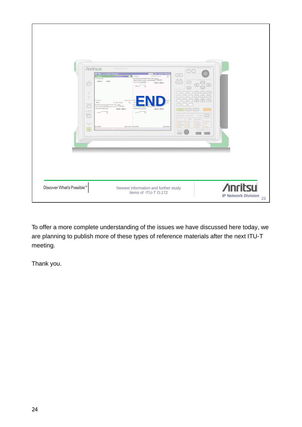

To offer a more complete understanding of the issues we have discussed here today, we are planning to publish more of these types of reference materials after the next ITU-T meeting.

Thank you.